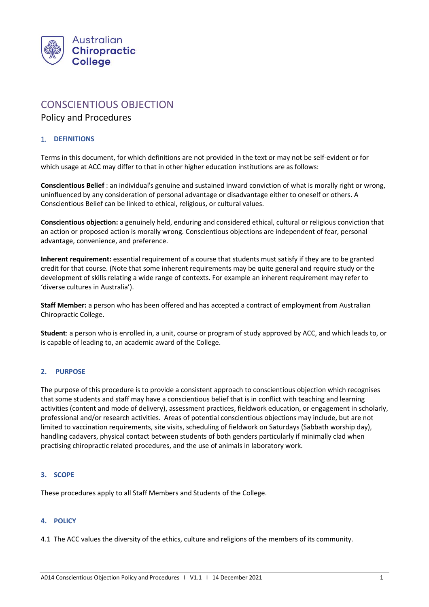

# CONSCIENTIOUS OBJECTION

## Policy and Procedures

### 1. **DEFINITIONS**

Terms in this document, for which definitions are not provided in the text or may not be self-evident or for which usage at ACC may differ to that in other higher education institutions are as follows:

**Conscientious Belief** : an individual's genuine and sustained inward conviction of what is morally right or wrong, uninfluenced by any consideration of personal advantage or disadvantage either to oneself or others. A Conscientious Belief can be linked to ethical, religious, or cultural values.

**Conscientious objection:** a genuinely held, enduring and considered ethical, cultural or religious conviction that an action or proposed action is morally wrong. Conscientious objections are independent of fear, personal advantage, convenience, and preference.

**Inherent requirement:** essential requirement of a course that students must satisfy if they are to be granted credit for that course. (Note that some inherent requirements may be quite general and require study or the development of skills relating a wide range of contexts. For example an inherent requirement may refer to 'diverse cultures in Australia').

**Staff Member:** a person who has been offered and has accepted a contract of employment from Australian Chiropractic College.

**Student**: a person who is enrolled in, a unit, course or program of study approved by ACC, and which leads to, or is capable of leading to, an academic award of the College.

#### **2. PURPOSE**

The purpose of this procedure is to provide a consistent approach to conscientious objection which recognises that some students and staff may have a conscientious belief that is in conflict with teaching and learning activities (content and mode of delivery), assessment practices, fieldwork education, or engagement in scholarly, professional and/or research activities. Areas of potential conscientious objections may include, but are not limited to vaccination requirements, site visits, scheduling of fieldwork on Saturdays (Sabbath worship day), handling cadavers, physical contact between students of both genders particularly if minimally clad when practising chiropractic related procedures, and the use of animals in laboratory work.

#### **3. SCOPE**

These procedures apply to all Staff Members and Students of the College.

#### **4. POLICY**

4.1 The ACC values the diversity of the ethics, culture and religions of the members of its community.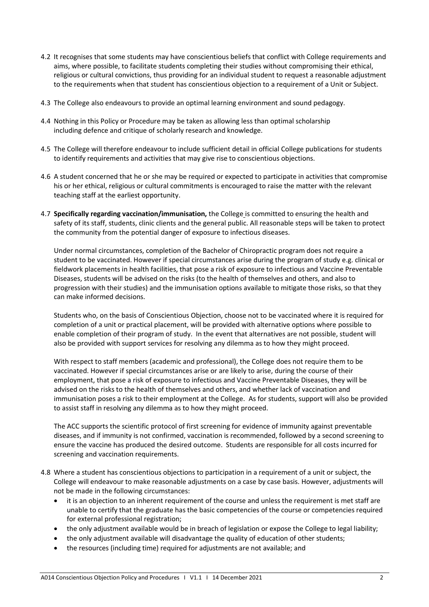- 4.2 It recognises that some students may have conscientious beliefs that conflict with College requirements and aims, where possible, to facilitate students completing their studies without compromising their ethical, religious or cultural convictions, thus providing for an individual student to request a reasonable adjustment to the requirements when that student has conscientious objection to a requirement of a Unit or Subject.
- 4.3 The College also endeavours to provide an optimal learning environment and sound pedagogy.
- 4.4 Nothing in this Policy or Procedure may be taken as allowing less than optimal scholarship including defence and critique of scholarly research and knowledge.
- 4.5 The College will therefore endeavour to include sufficient detail in official College publications for students to identify requirements and activities that may give rise to conscientious objections.
- 4.6 A student concerned that he or she may be required or expected to participate in activities that compromise his or her ethical, religious or cultural commitments is encouraged to raise the matter with the relevant teaching staff at the earliest opportunity.
- 4.7 **Specifically regarding vaccination/immunisation,** the College is committed to ensuring the health and safety of its staff, students, clinic clients and the general public. All reasonable steps will be taken to protect the community from the potential danger of exposure to infectious diseases.

Under normal circumstances, completion of the Bachelor of Chiropractic program does not require a student to be vaccinated. However if special circumstances arise during the program of study e.g. clinical or fieldwork placements in health facilities, that pose a risk of exposure to infectious and Vaccine Preventable Diseases, students will be advised on the risks (to the health of themselves and others, and also to progression with their studies) and the immunisation options available to mitigate those risks, so that they can make informed decisions.

Students who, on the basis of Conscientious Objection, choose not to be vaccinated where it is required for completion of a unit or practical placement, will be provided with alternative options where possible to enable completion of their program of study. In the event that alternatives are not possible, student will also be provided with support services for resolving any dilemma as to how they might proceed.

With respect to staff members (academic and professional), the College does not require them to be vaccinated. However if special circumstances arise or are likely to arise, during the course of their employment, that pose a risk of exposure to infectious and Vaccine Preventable Diseases, they will be advised on the risks to the health of themselves and others, and whether lack of vaccination and immunisation poses a risk to their employment at the College. As for students, support will also be provided to assist staff in resolving any dilemma as to how they might proceed.

The ACC supports the scientific protocol of first screening for evidence of immunity against preventable diseases, and if immunity is not confirmed, vaccination is recommended, followed by a second screening to ensure the vaccine has produced the desired outcome. Students are responsible for all costs incurred for screening and vaccination requirements.

- 4.8 Where a student has conscientious objections to participation in a requirement of a unit or subject, the College will endeavour to make reasonable adjustments on a case by case basis. However, adjustments will not be made in the following circumstances:
	- it is an objection to an inherent requirement of the course and unless the requirement is met staff are unable to certify that the graduate has the basic competencies of the course or competencies required for external professional registration;
	- the only adjustment available would be in breach of legislation or expose the College to legal liability;
	- the only adjustment available will disadvantage the quality of education of other students;
	- the resources (including time) required for adjustments are not available; and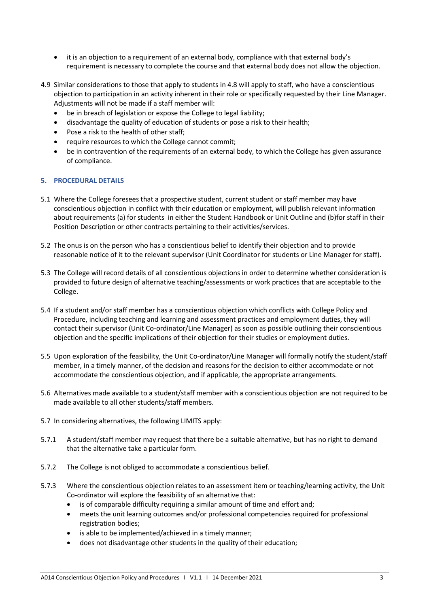- it is an objection to a requirement of an external body, compliance with that external body's requirement is necessary to complete the course and that external body does not allow the objection.
- 4.9 Similar considerations to those that apply to students in 4.8 will apply to staff, who have a conscientious objection to participation in an activity inherent in their role or specifically requested by their Line Manager. Adjustments will not be made if a staff member will:
	- be in breach of legislation or expose the College to legal liability;
	- disadvantage the quality of education of students or pose a risk to their health;
	- Pose a risk to the health of other staff;
	- require resources to which the College cannot commit;
	- be in contravention of the requirements of an external body, to which the College has given assurance of compliance.

#### **5. PROCEDURAL DETAILS**

- 5.1 Where the College foresees that a prospective student, current student or staff member may have conscientious objection in conflict with their education or employment, will publish relevant information about requirements (a) for students in either the Student Handbook or Unit Outline and (b)for staff in their Position Description or other contracts pertaining to their activities/services.
- 5.2 The onus is on the person who has a conscientious belief to identify their objection and to provide reasonable notice of it to the relevant supervisor (Unit Coordinator for students or Line Manager for staff).
- 5.3 The College will record details of all conscientious objections in order to determine whether consideration is provided to future design of alternative teaching/assessments or work practices that are acceptable to the College.
- 5.4 If a student and/or staff member has a conscientious objection which conflicts with College Policy and Procedure, including teaching and learning and assessment practices and employment duties, they will contact their supervisor (Unit Co-ordinator/Line Manager) as soon as possible outlining their conscientious objection and the specific implications of their objection for their studies or employment duties.
- 5.5 Upon exploration of the feasibility, the Unit Co-ordinator/Line Manager will formally notify the student/staff member, in a timely manner, of the decision and reasons for the decision to either accommodate or not accommodate the conscientious objection, and if applicable, the appropriate arrangements.
- 5.6 Alternatives made available to a student/staff member with a conscientious objection are not required to be made available to all other students/staff members.
- 5.7 In considering alternatives, the following LIMITS apply:
- 5.7.1 A student/staff member may request that there be a suitable alternative, but has no right to demand that the alternative take a particular form.
- 5.7.2 The College is not obliged to accommodate a conscientious belief.
- 5.7.3 Where the conscientious objection relates to an assessment item or teaching/learning activity, the Unit Co-ordinator will explore the feasibility of an alternative that:
	- is of comparable difficulty requiring a similar amount of time and effort and;
	- meets the unit learning outcomes and/or professional competencies required for professional registration bodies;
	- is able to be implemented/achieved in a timely manner;
	- does not disadvantage other students in the quality of their education;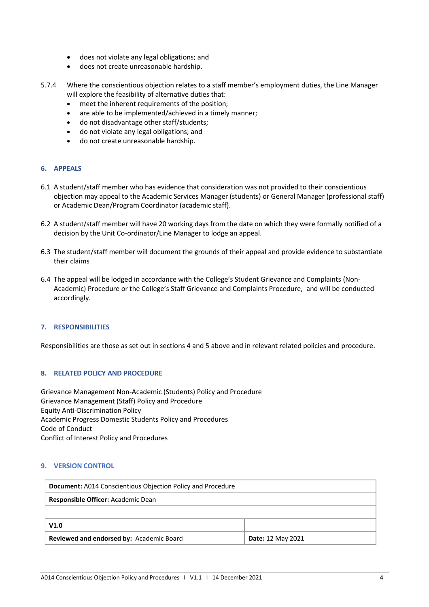- does not violate any legal obligations; and
- does not create unreasonable hardship.
- 5.7.4 Where the conscientious objection relates to a staff member's employment duties, the Line Manager will explore the feasibility of alternative duties that:
	- meet the inherent requirements of the position;
	- are able to be implemented/achieved in a timely manner;
	- do not disadvantage other staff/students;
	- do not violate any legal obligations; and
	- do not create unreasonable hardship.

#### **6. APPEALS**

- 6.1 A student/staff member who has evidence that consideration was not provided to their conscientious objection may appeal to the Academic Services Manager (students) or General Manager (professional staff) or Academic Dean/Program Coordinator (academic staff).
- 6.2 A student/staff member will have 20 working days from the date on which they were formally notified of a decision by the Unit Co-ordinator/Line Manager to lodge an appeal.
- 6.3 The student/staff member will document the grounds of their appeal and provide evidence to substantiate their claims
- 6.4 The appeal will be lodged in accordance with the College's Student Grievance and Complaints (Non-Academic) Procedure or the College's Staff Grievance and Complaints Procedure, and will be conducted accordingly.

#### **7. RESPONSIBILITIES**

Responsibilities are those as set out in sections 4 and 5 above and in relevant related policies and procedure.

#### **8. RELATED POLICY AND PROCEDURE**

Grievance Management Non-Academic (Students) Policy and Procedure Grievance Management (Staff) Policy and Procedure Equity Anti-Discrimination Policy Academic Progress Domestic Students Policy and Procedures Code of Conduct Conflict of Interest Policy and Procedures

#### **9. VERSION CONTROL**

| <b>Document:</b> A014 Conscientious Objection Policy and Procedure |                          |  |
|--------------------------------------------------------------------|--------------------------|--|
| Responsible Officer: Academic Dean                                 |                          |  |
|                                                                    |                          |  |
| V1.0                                                               |                          |  |
| Reviewed and endorsed by: Academic Board                           | <b>Date: 12 May 2021</b> |  |